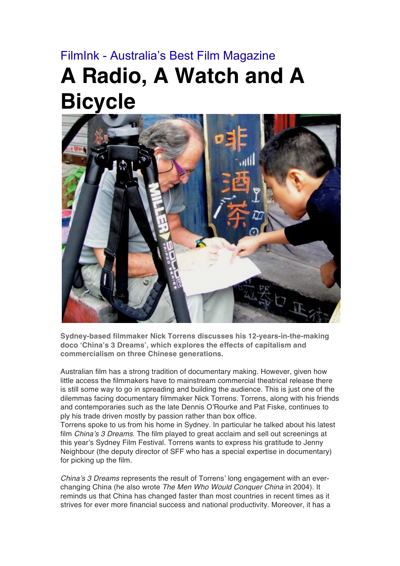## FilmInk - Australia's Best Film Magazine **A Radio, A Watch and A Bicycle**



**Sydney-based filmmaker Nick Torrens discusses his 12-years-in-the-making doco 'China's 3 Dreams', which explores the effects of capitalism and commercialism on three Chinese generations.**

Australian film has a strong tradition of documentary making. However, given how little access the filmmakers have to mainstream commercial theatrical release there is still some way to go in spreading and building the audience. This is just one of the dilemmas facing documentary filmmaker Nick Torrens. Torrens, along with his friends and contemporaries such as the late Dennis O'Rourke and Pat Fiske, continues to ply his trade driven mostly by passion rather than box office.

Torrens spoke to us from his home in Sydney. In particular he talked about his latest film *China's 3 Dreams*. The film played to great acclaim and sell out screenings at this year's Sydney Film Festival. Torrens wants to express his gratitude to Jenny Neighbour (the deputy director of SFF who has a special expertise in documentary) for picking up the film.

*China's 3 Dreams* represents the result of Torrens' long engagement with an everchanging China (he also wrote *The Men Who Would Conquer China* in 2004). It reminds us that China has changed faster than most countries in recent times as it strives for ever more financial success and national productivity. Moreover, it has a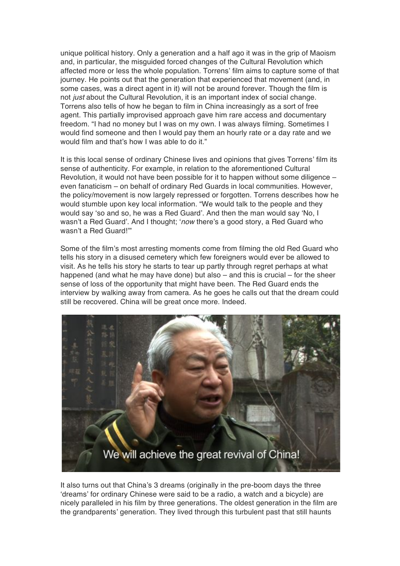unique political history. Only a generation and a half ago it was in the grip of Maoism and, in particular, the misguided forced changes of the Cultural Revolution which affected more or less the whole population. Torrens' film aims to capture some of that journey. He points out that the generation that experienced that movement (and, in some cases, was a direct agent in it) will not be around forever. Though the film is not *just* about the Cultural Revolution, it is an important index of social change. Torrens also tells of how he began to film in China increasingly as a sort of free agent. This partially improvised approach gave him rare access and documentary freedom. "I had no money but I was on my own. I was always filming. Sometimes I would find someone and then I would pay them an hourly rate or a day rate and we would film and that's how I was able to do it."

It is this local sense of ordinary Chinese lives and opinions that gives Torrens' film its sense of authenticity. For example, in relation to the aforementioned Cultural Revolution, it would not have been possible for it to happen without some diligence – even fanaticism – on behalf of ordinary Red Guards in local communities. However, the policy/movement is now largely repressed or forgotten. Torrens describes how he would stumble upon key local information. "We would talk to the people and they would say 'so and so, he was a Red Guard'. And then the man would say 'No, I wasn't a Red Guard'. And I thought; '*now* there's a good story, a Red Guard who wasn't a Red Guard!'"

Some of the film's most arresting moments come from filming the old Red Guard who tells his story in a disused cemetery which few foreigners would ever be allowed to visit. As he tells his story he starts to tear up partly through regret perhaps at what happened (and what he may have done) but also – and this is crucial – for the sheer sense of loss of the opportunity that might have been. The Red Guard ends the interview by walking away from camera. As he goes he calls out that the dream could still be recovered. China will be great once more. Indeed.



It also turns out that China's 3 dreams (originally in the pre-boom days the three 'dreams' for ordinary Chinese were said to be a radio, a watch and a bicycle) are nicely paralleled in his film by three generations. The oldest generation in the film are the grandparents' generation. They lived through this turbulent past that still haunts